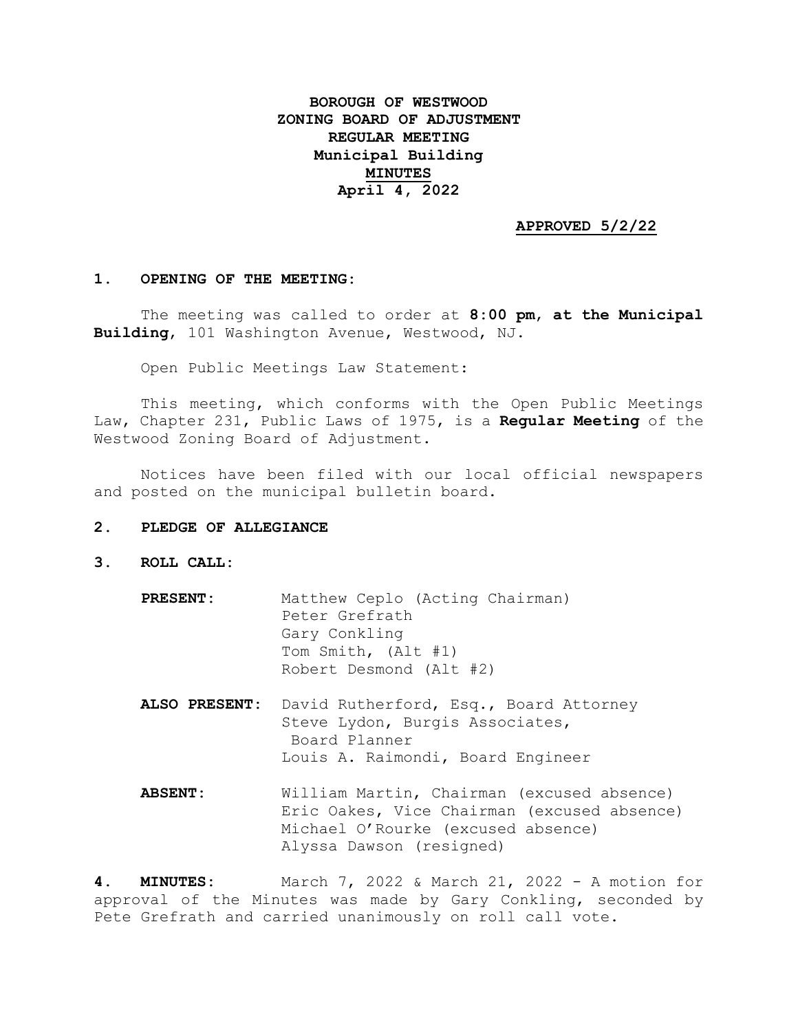# **BOROUGH OF WESTWOOD ZONING BOARD OF ADJUSTMENT REGULAR MEETING Municipal Building MINUTES April 4, 2022**

## **APPROVED 5/2/22**

### **1. OPENING OF THE MEETING:**

The meeting was called to order at **8:00 pm**, **at the Municipal Building**, 101 Washington Avenue, Westwood, NJ.

Open Public Meetings Law Statement:

This meeting, which conforms with the Open Public Meetings Law, Chapter 231, Public Laws of 1975, is a **Regular Meeting** of the Westwood Zoning Board of Adjustment.

Notices have been filed with our local official newspapers and posted on the municipal bulletin board.

### **2. PLEDGE OF ALLEGIANCE**

- **3. ROLL CALL:**
	- **PRESENT:** Matthew Ceplo (Acting Chairman) Peter Grefrath Gary Conkling Tom Smith, (Alt #1) Robert Desmond (Alt #2)
	- **ALSO PRESENT:** David Rutherford, Esq., Board Attorney Steve Lydon, Burgis Associates, Board Planner Louis A. Raimondi, Board Engineer
	- **ABSENT:** William Martin, Chairman (excused absence) Eric Oakes, Vice Chairman (excused absence) Michael O'Rourke (excused absence) Alyssa Dawson (resigned)

**4. MINUTES:** March 7, 2022 & March 21, 2022 - A motion for approval of the Minutes was made by Gary Conkling, seconded by Pete Grefrath and carried unanimously on roll call vote.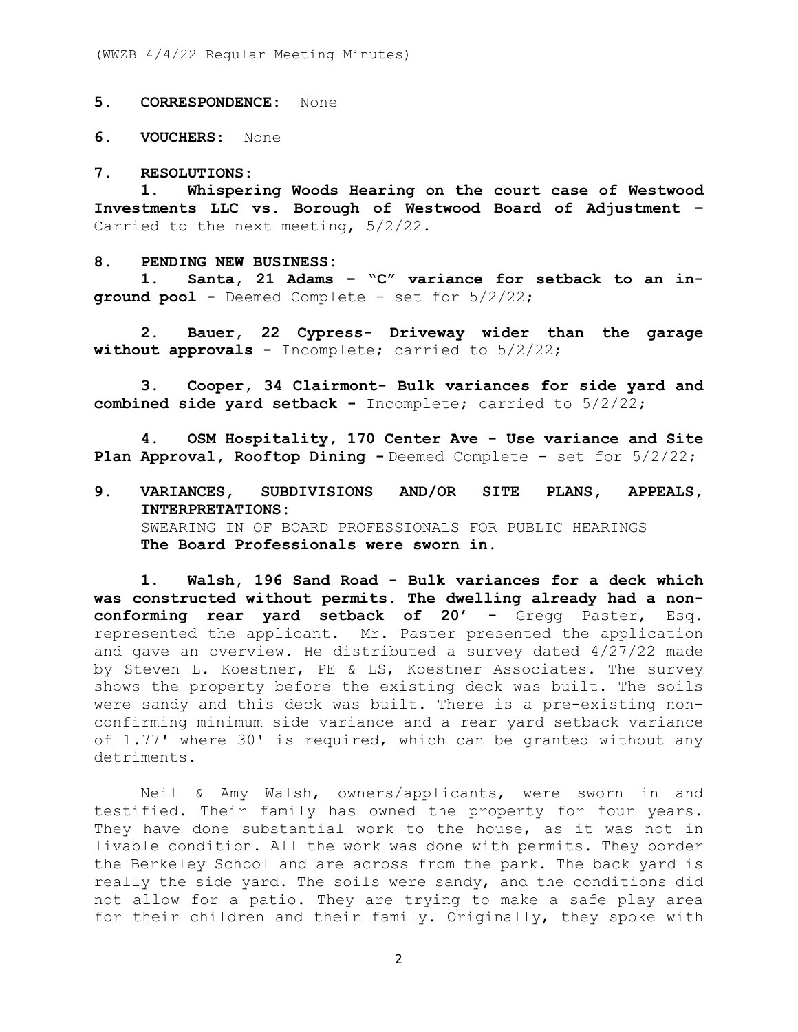(WWZB 4/4/22 Regular Meeting Minutes)

**5. CORRESPONDENCE:** None

**6. VOUCHERS:** None

#### **7. RESOLUTIONS:**

**1. Whispering Woods Hearing on the court case of Westwood Investments LLC vs. Borough of Westwood Board of Adjustment –** Carried to the next meeting, 5/2/22.

#### **8. PENDING NEW BUSINESS:**

**1. Santa, 21 Adams – "C" variance for setback to an inground pool -** Deemed Complete - set for 5/2/22;

**2. Bauer, 22 Cypress- Driveway wider than the garage without approvals -** Incomplete; carried to 5/2/22;

**3. Cooper, 34 Clairmont- Bulk variances for side yard and combined side yard setback -** Incomplete; carried to 5/2/22;

**4. OSM Hospitality, 170 Center Ave - Use variance and Site Plan Approval, Rooftop Dining -** Deemed Complete - set for 5/2/22;

**9. VARIANCES, SUBDIVISIONS AND/OR SITE PLANS, APPEALS, INTERPRETATIONS:** SWEARING IN OF BOARD PROFESSIONALS FOR PUBLIC HEARINGS **The Board Professionals were sworn in.**

**1. Walsh, 196 Sand Road - Bulk variances for a deck which was constructed without permits. The dwelling already had a nonconforming rear yard setback of 20' -** Gregg Paster, Esq. represented the applicant. Mr. Paster presented the application and gave an overview. He distributed a survey dated 4/27/22 made by Steven L. Koestner, PE & LS, Koestner Associates. The survey shows the property before the existing deck was built. The soils were sandy and this deck was built. There is a pre-existing nonconfirming minimum side variance and a rear yard setback variance of 1.77' where 30' is required, which can be granted without any detriments.

Neil & Amy Walsh, owners/applicants, were sworn in and testified. Their family has owned the property for four years. They have done substantial work to the house, as it was not in livable condition. All the work was done with permits. They border the Berkeley School and are across from the park. The back yard is really the side yard. The soils were sandy, and the conditions did not allow for a patio. They are trying to make a safe play area for their children and their family. Originally, they spoke with

2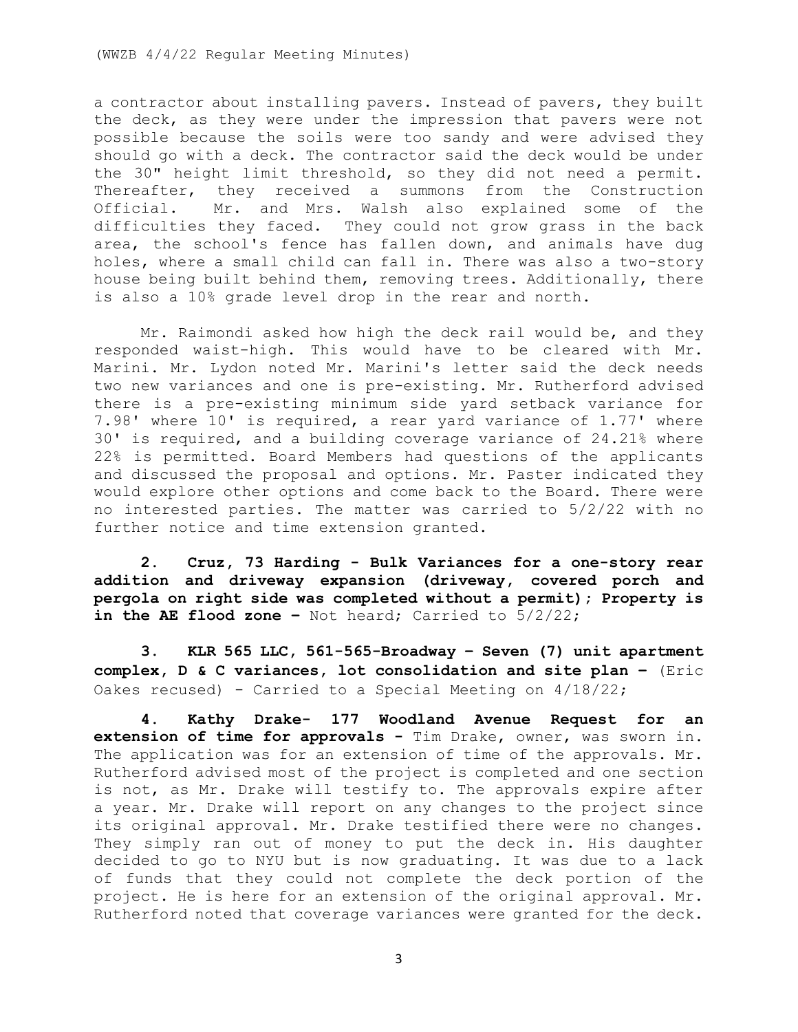a contractor about installing pavers. Instead of pavers, they built the deck, as they were under the impression that pavers were not possible because the soils were too sandy and were advised they should go with a deck. The contractor said the deck would be under the 30" height limit threshold, so they did not need a permit. Thereafter, they received a summons from the Construction Official. Mr. and Mrs. Walsh also explained some of the difficulties they faced. They could not grow grass in the back area, the school's fence has fallen down, and animals have dug holes, where a small child can fall in. There was also a two-story house being built behind them, removing trees. Additionally, there is also a 10% grade level drop in the rear and north.

Mr. Raimondi asked how high the deck rail would be, and they responded waist-high. This would have to be cleared with Mr. Marini. Mr. Lydon noted Mr. Marini's letter said the deck needs two new variances and one is pre-existing. Mr. Rutherford advised there is a pre-existing minimum side yard setback variance for 7.98' where 10' is required, a rear yard variance of 1.77' where 30' is required, and a building coverage variance of 24.21% where 22% is permitted. Board Members had questions of the applicants and discussed the proposal and options. Mr. Paster indicated they would explore other options and come back to the Board. There were no interested parties. The matter was carried to 5/2/22 with no further notice and time extension granted.

**2. Cruz, 73 Harding - Bulk Variances for a one-story rear addition and driveway expansion (driveway, covered porch and pergola on right side was completed without a permit); Property is in the AE flood zone –** Not heard; Carried to 5/2/22;

**3. KLR 565 LLC, 561-565-Broadway – Seven (7) unit apartment complex, D & C variances, lot consolidation and site plan –** (Eric Oakes recused) - Carried to a Special Meeting on 4/18/22;

**4. Kathy Drake- 177 Woodland Avenue Request for an extension of time for approvals -** Tim Drake, owner, was sworn in. The application was for an extension of time of the approvals. Mr. Rutherford advised most of the project is completed and one section is not, as Mr. Drake will testify to. The approvals expire after a year. Mr. Drake will report on any changes to the project since its original approval. Mr. Drake testified there were no changes. They simply ran out of money to put the deck in. His daughter decided to go to NYU but is now graduating. It was due to a lack of funds that they could not complete the deck portion of the project. He is here for an extension of the original approval. Mr. Rutherford noted that coverage variances were granted for the deck.